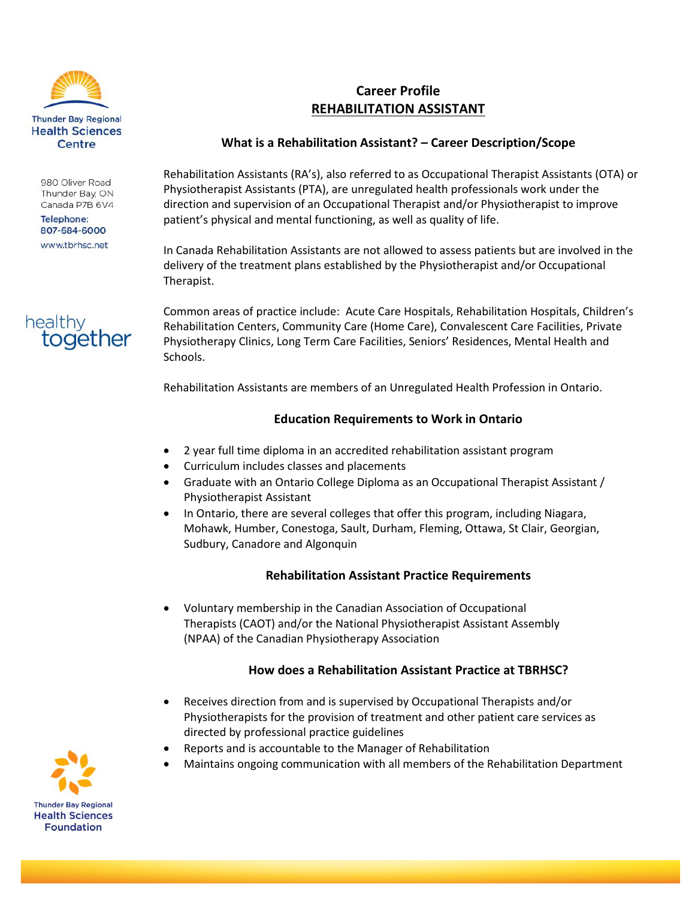

980 Oliver Road Thunder Bay, ON Canada P7B 6V4

**Telephone:** 807-684-6000 www.tbrhsc.net



# **Career Profile REHABILITATION ASSISTANT**

### **What is a Rehabilitation Assistant? – Career Description/Scope**

Rehabilitation Assistants (RA's), also referred to as Occupational Therapist Assistants (OTA) or Physiotherapist Assistants (PTA), are unregulated health professionals work under the direction and supervision of an Occupational Therapist and/or Physiotherapist to improve patient's physical and mental functioning, as well as quality of life.

In Canada Rehabilitation Assistants are not allowed to assess patients but are involved in the delivery of the treatment plans established by the Physiotherapist and/or Occupational Therapist.

Common areas of practice include: Acute Care Hospitals, Rehabilitation Hospitals, Children's Rehabilitation Centers, Community Care (Home Care), Convalescent Care Facilities, Private Physiotherapy Clinics, Long Term Care Facilities, Seniors' Residences, Mental Health and Schools.

Rehabilitation Assistants are members of an Unregulated Health Profession in Ontario.

### **Education Requirements to Work in Ontario**

- 2 year full time diploma in an accredited rehabilitation assistant program
- Curriculum includes classes and placements
- Graduate with an Ontario College Diploma as an Occupational Therapist Assistant / Physiotherapist Assistant
- In Ontario, there are several colleges that offer this program, including Niagara, Mohawk, Humber, Conestoga, Sault, Durham, Fleming, Ottawa, St Clair, Georgian, Sudbury, Canadore and Algonquin

### **Rehabilitation Assistant Practice Requirements**

 Voluntary membership in the Canadian Association of Occupational Therapists (CAOT) and/or the National Physiotherapist Assistant Assembly (NPAA) of the Canadian Physiotherapy Association

### **How does a Rehabilitation Assistant Practice at TBRHSC?**

- Receives direction from and is supervised by Occupational Therapists and/or Physiotherapists for the provision of treatment and other patient care services as directed by professional practice guidelines
- Reports and is accountable to the Manager of Rehabilitation
- Maintains ongoing communication with all members of the Rehabilitation Department